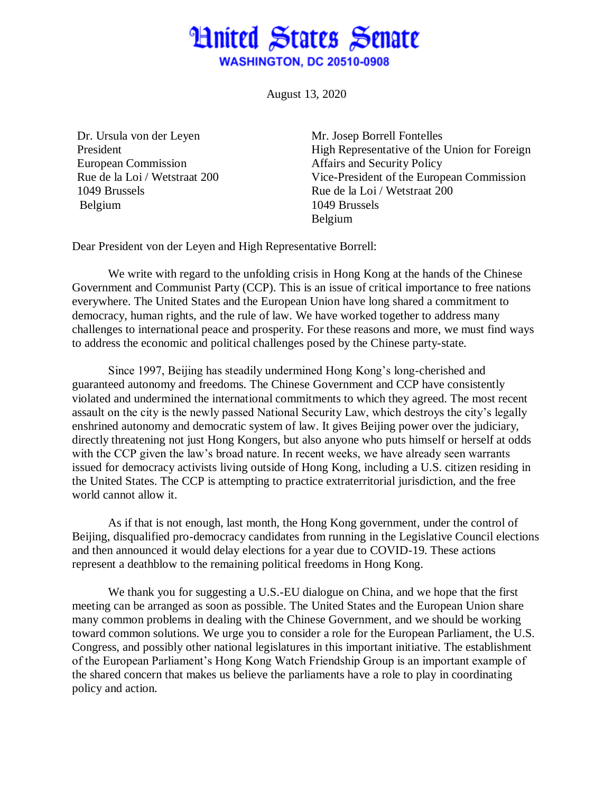## **Hnited States Senate WASHINGTON, DC 20510-0908**

August 13, 2020

Dr. Ursula von der Leyen President European Commission Rue de la Loi / Wetstraat 200 1049 Brussels Belgium

Mr. Josep Borrell Fontelles High Representative of the Union for Foreign Affairs and Security Policy Vice-President of the European Commission Rue de la Loi / Wetstraat 200 1049 Brussels Belgium

Dear President von der Leyen and High Representative Borrell:

We write with regard to the unfolding crisis in Hong Kong at the hands of the Chinese Government and Communist Party (CCP). This is an issue of critical importance to free nations everywhere. The United States and the European Union have long shared a commitment to democracy, human rights, and the rule of law. We have worked together to address many challenges to international peace and prosperity. For these reasons and more, we must find ways to address the economic and political challenges posed by the Chinese party-state.

Since 1997, Beijing has steadily undermined Hong Kong's long-cherished and guaranteed autonomy and freedoms. The Chinese Government and CCP have consistently violated and undermined the international commitments to which they agreed. The most recent assault on the city is the newly passed National Security Law, which destroys the city's legally enshrined autonomy and democratic system of law. It gives Beijing power over the judiciary, directly threatening not just Hong Kongers, but also anyone who puts himself or herself at odds with the CCP given the law's broad nature. In recent weeks, we have already seen warrants issued for democracy activists living outside of Hong Kong, including a U.S. citizen residing in the United States. The CCP is attempting to practice extraterritorial jurisdiction, and the free world cannot allow it.

As if that is not enough, last month, the Hong Kong government, under the control of Beijing, disqualified pro-democracy candidates from running in the Legislative Council elections and then announced it would delay elections for a year due to COVID-19. These actions represent a deathblow to the remaining political freedoms in Hong Kong.

We thank you for suggesting a U.S.-EU dialogue on China, and we hope that the first meeting can be arranged as soon as possible. The United States and the European Union share many common problems in dealing with the Chinese Government, and we should be working toward common solutions. We urge you to consider a role for the European Parliament, the U.S. Congress, and possibly other national legislatures in this important initiative. The establishment of the European Parliament's Hong Kong Watch Friendship Group is an important example of the shared concern that makes us believe the parliaments have a role to play in coordinating policy and action.